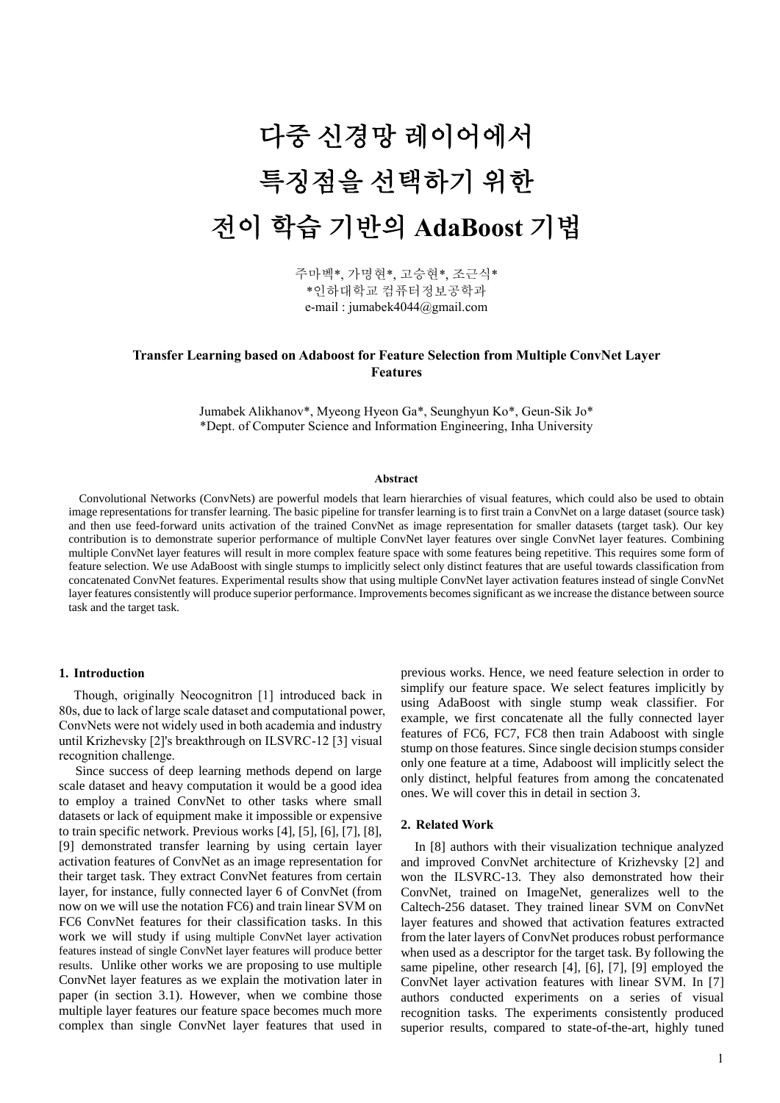# 다중 신경망 레이어에서 특징점을 선택하기 위한 전이 학습 기반의 **AdaBoost** 기법

주마벡\*, 가명현\*, 고승현\*, 조근식\* \*인하대학교 컴퓨터정보공학과 e-mail : jumabek4044@gmail.com

# **Transfer Learning based on Adaboost for Feature Selection from Multiple ConvNet Layer Features**

Jumabek Alikhanov\*, Myeong Hyeon Ga\*, Seunghyun Ko\*, Geun-Sik Jo\* \*Dept. of Computer Science and Information Engineering, Inha University

### **Abstract**

 Convolutional Networks (ConvNets) are powerful models that learn hierarchies of visual features, which could also be used to obtain image representations for transfer learning. The basic pipeline for transfer learning is to first train a ConvNet on a large dataset (source task) and then use feed-forward units activation of the trained ConvNet as image representation for smaller datasets (target task). Our key contribution is to demonstrate superior performance of multiple ConvNet layer features over single ConvNet layer features. Combining multiple ConvNet layer features will result in more complex feature space with some features being repetitive. This requires some form of feature selection. We use AdaBoost with single stumps to implicitly select only distinct features that are useful towards classification from concatenated ConvNet features. Experimental results show that using multiple ConvNet layer activation features instead of single ConvNet layer features consistently will produce superior performance. Improvements becomes significant as we increase the distance between source task and the target task.

#### **1. Introduction**

Though, originally Neocognitron [1] introduced back in 80s, due to lack of large scale dataset and computational power, ConvNets were not widely used in both academia and industry until Krizhevsky [2]'s breakthrough on ILSVRC-12 [3] visual recognition challenge.

 Since success of deep learning methods depend on large scale dataset and heavy computation it would be a good idea to employ a trained ConvNet to other tasks where small datasets or lack of equipment make it impossible or expensive to train specific network. Previous works [4], [5], [6], [7], [8], [9] demonstrated transfer learning by using certain layer activation features of ConvNet as an image representation for their target task. They extract ConvNet features from certain layer, for instance, fully connected layer 6 of ConvNet (from now on we will use the notation FC6) and train linear SVM on FC6 ConvNet features for their classification tasks. In this work we will study if using multiple ConvNet layer activation features instead of single ConvNet layer features will produce better results. Unlike other works we are proposing to use multiple ConvNet layer features as we explain the motivation later in paper (in section 3.1). However, when we combine those multiple layer features our feature space becomes much more complex than single ConvNet layer features that used in

previous works. Hence, we need feature selection in order to simplify our feature space. We select features implicitly by using AdaBoost with single stump weak classifier. For example, we first concatenate all the fully connected layer features of FC6, FC7, FC8 then train Adaboost with single stump on those features. Since single decision stumps consider only one feature at a time, Adaboost will implicitly select the only distinct, helpful features from among the concatenated ones. We will cover this in detail in section 3.

### **2. Related Work**

In [8] authors with their visualization technique analyzed and improved ConvNet architecture of Krizhevsky [2] and won the ILSVRC-13. They also demonstrated how their ConvNet, trained on ImageNet, generalizes well to the Caltech-256 dataset. They trained linear SVM on ConvNet layer features and showed that activation features extracted from the later layers of ConvNet produces robust performance when used as a descriptor for the target task. By following the same pipeline, other research [4], [6], [7], [9] employed the ConvNet layer activation features with linear SVM. In [7] authors conducted experiments on a series of visual recognition tasks. The experiments consistently produced superior results, compared to state-of-the-art, highly tuned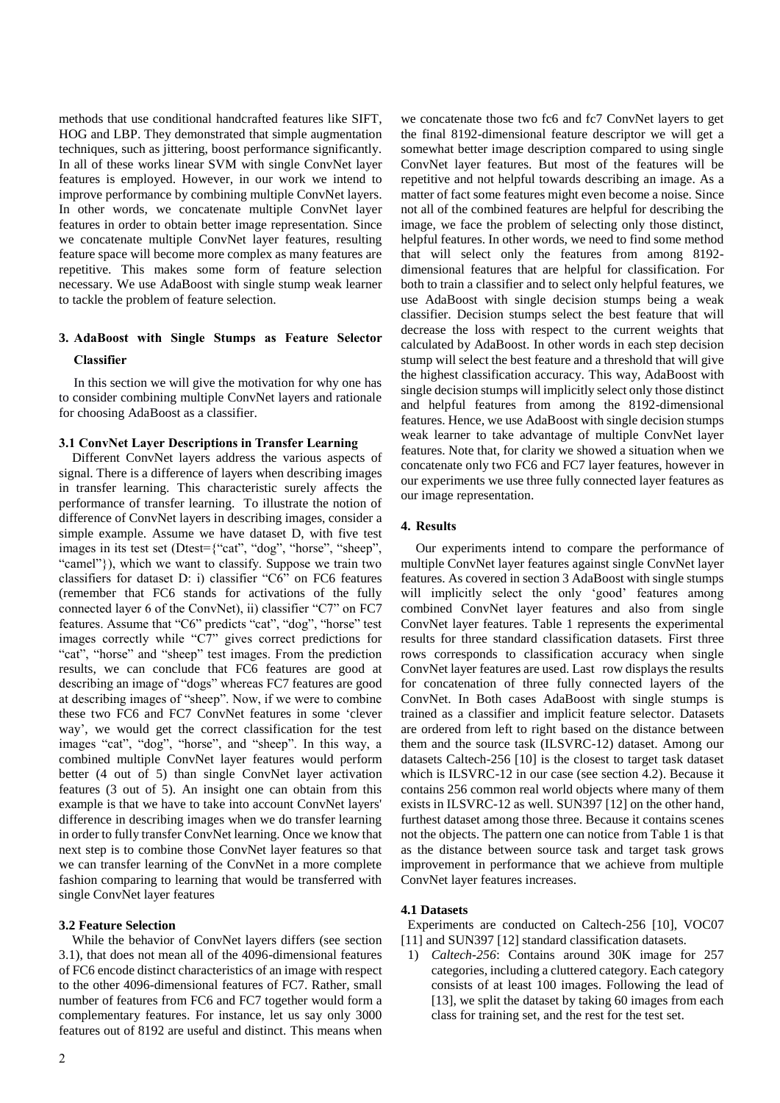methods that use conditional handcrafted features like SIFT, HOG and LBP. They demonstrated that simple augmentation techniques, such as jittering, boost performance significantly. In all of these works linear SVM with single ConvNet layer features is employed. However, in our work we intend to improve performance by combining multiple ConvNet layers. In other words, we concatenate multiple ConvNet layer features in order to obtain better image representation. Since we concatenate multiple ConvNet layer features, resulting feature space will become more complex as many features are repetitive. This makes some form of feature selection necessary. We use AdaBoost with single stump weak learner to tackle the problem of feature selection.

# **3. AdaBoost with Single Stumps as Feature Selector Classifier**

In this section we will give the motivation for why one has to consider combining multiple ConvNet layers and rationale for choosing AdaBoost as a classifier.

# **3.1 ConvNet Layer Descriptions in Transfer Learning**

 Different ConvNet layers address the various aspects of signal. There is a difference of layers when describing images in transfer learning. This characteristic surely affects the performance of transfer learning. To illustrate the notion of difference of ConvNet layers in describing images, consider a simple example. Assume we have dataset D, with five test images in its test set (Dtest={"cat", "dog", "horse", "sheep", "camel"}), which we want to classify. Suppose we train two classifiers for dataset D: i) classifier "C6" on FC6 features (remember that FC6 stands for activations of the fully connected layer 6 of the ConvNet), ii) classifier "C7" on FC7 features. Assume that "C6" predicts "cat", "dog", "horse" test images correctly while "C7" gives correct predictions for "cat", "horse" and "sheep" test images. From the prediction results, we can conclude that FC6 features are good at describing an image of "dogs" whereas FC7 features are good at describing images of "sheep". Now, if we were to combine these two FC6 and FC7 ConvNet features in some 'clever way', we would get the correct classification for the test images "cat", "dog", "horse", and "sheep". In this way, a combined multiple ConvNet layer features would perform better (4 out of 5) than single ConvNet layer activation features (3 out of 5). An insight one can obtain from this example is that we have to take into account ConvNet layers' difference in describing images when we do transfer learning in order to fully transfer ConvNet learning. Once we know that next step is to combine those ConvNet layer features so that we can transfer learning of the ConvNet in a more complete fashion comparing to learning that would be transferred with single ConvNet layer features

## **3.2 Feature Selection**

 While the behavior of ConvNet layers differs (see section 3.1), that does not mean all of the 4096-dimensional features of FC6 encode distinct characteristics of an image with respect to the other 4096-dimensional features of FC7. Rather, small number of features from FC6 and FC7 together would form a complementary features. For instance, let us say only 3000 features out of 8192 are useful and distinct. This means when we concatenate those two fc6 and fc7 ConvNet layers to get the final 8192-dimensional feature descriptor we will get a somewhat better image description compared to using single ConvNet layer features. But most of the features will be repetitive and not helpful towards describing an image. As a matter of fact some features might even become a noise. Since not all of the combined features are helpful for describing the image, we face the problem of selecting only those distinct, helpful features. In other words, we need to find some method that will select only the features from among 8192 dimensional features that are helpful for classification. For both to train a classifier and to select only helpful features, we use AdaBoost with single decision stumps being a weak classifier. Decision stumps select the best feature that will decrease the loss with respect to the current weights that calculated by AdaBoost. In other words in each step decision stump will select the best feature and a threshold that will give the highest classification accuracy. This way, AdaBoost with single decision stumps will implicitly select only those distinct and helpful features from among the 8192-dimensional features. Hence, we use AdaBoost with single decision stumps weak learner to take advantage of multiple ConvNet layer features. Note that, for clarity we showed a situation when we concatenate only two FC6 and FC7 layer features, however in our experiments we use three fully connected layer features as our image representation.

# **4. Results**

Our experiments intend to compare the performance of multiple ConvNet layer features against single ConvNet layer features. As covered in section 3 AdaBoost with single stumps will implicitly select the only 'good' features among combined ConvNet layer features and also from single ConvNet layer features. Table 1 represents the experimental results for three standard classification datasets. First three rows corresponds to classification accuracy when single ConvNet layer features are used. Last row displays the results for concatenation of three fully connected layers of the ConvNet. In Both cases AdaBoost with single stumps is trained as a classifier and implicit feature selector. Datasets are ordered from left to right based on the distance between them and the source task (ILSVRC-12) dataset. Among our datasets Caltech-256 [10] is the closest to target task dataset which is ILSVRC-12 in our case (see section 4.2). Because it contains 256 common real world objects where many of them exists in ILSVRC-12 as well. SUN397 [12] on the other hand, furthest dataset among those three. Because it contains scenes not the objects. The pattern one can notice from Table 1 is that as the distance between source task and target task grows improvement in performance that we achieve from multiple ConvNet layer features increases.

#### **4.1 Datasets**

Experiments are conducted on Caltech-256 [10], VOC07 [11] and SUN397 [12] standard classification datasets.

1) *Caltech-256*: Contains around 30K image for 257 categories, including a cluttered category. Each category consists of at least 100 images. Following the lead of [13], we split the dataset by taking 60 images from each class for training set, and the rest for the test set.